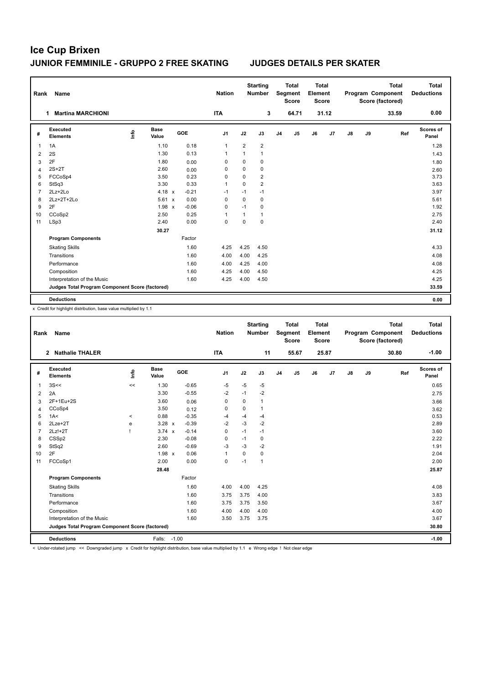| Rank           | <b>Name</b>                                     |      |                      |            | <b>Nation</b>  |                | <b>Starting</b><br><b>Number</b> |                | <b>Total</b><br>Segment<br><b>Score</b> | Total<br>Element<br><b>Score</b> |       |            |    | <b>Total</b><br>Program Component<br>Score (factored) | <b>Total</b><br><b>Deductions</b> |
|----------------|-------------------------------------------------|------|----------------------|------------|----------------|----------------|----------------------------------|----------------|-----------------------------------------|----------------------------------|-------|------------|----|-------------------------------------------------------|-----------------------------------|
|                | <b>Martina MARCHIONI</b><br>1                   |      |                      |            | <b>ITA</b>     |                | 3                                |                | 64.71                                   |                                  | 31.12 |            |    | 33.59                                                 | 0.00                              |
| #              | Executed<br><b>Elements</b>                     | lnfo | <b>Base</b><br>Value | <b>GOE</b> | J <sub>1</sub> | J2             | J3                               | J <sub>4</sub> | J <sub>5</sub>                          | J6                               | J7    | ${\sf J8}$ | J9 | Ref                                                   | Scores of<br>Panel                |
| 1              | 1A                                              |      | 1.10                 | 0.18       | $\mathbf{1}$   | $\overline{2}$ | $\overline{2}$                   |                |                                         |                                  |       |            |    |                                                       | 1.28                              |
| 2              | 2S                                              |      | 1.30                 | 0.13       | $\overline{1}$ | 1              | $\mathbf{1}$                     |                |                                         |                                  |       |            |    |                                                       | 1.43                              |
| 3              | 2F                                              |      | 1.80                 | 0.00       | 0              | 0              | 0                                |                |                                         |                                  |       |            |    |                                                       | 1.80                              |
| 4              | $2S+2T$                                         |      | 2.60                 | 0.00       | 0              | $\mathbf 0$    | $\mathbf 0$                      |                |                                         |                                  |       |            |    |                                                       | 2.60                              |
| 5              | FCCoSp4                                         |      | 3.50                 | 0.23       | 0              | 0              | $\overline{2}$                   |                |                                         |                                  |       |            |    |                                                       | 3.73                              |
| 6              | StSq3                                           |      | 3.30                 | 0.33       | $\overline{1}$ | $\Omega$       | $\overline{2}$                   |                |                                         |                                  |       |            |    |                                                       | 3.63                              |
| $\overline{7}$ | $2Lz+2Lo$                                       |      | $4.18 \times$        | $-0.21$    | $-1$           | $-1$           | $-1$                             |                |                                         |                                  |       |            |    |                                                       | 3.97                              |
| 8              | $2Lz+2T+2Lo$                                    |      | $5.61 \times$        | 0.00       | 0              | $\Omega$       | 0                                |                |                                         |                                  |       |            |    |                                                       | 5.61                              |
| 9              | 2F                                              |      | 1.98 x               | $-0.06$    | 0              | $-1$           | 0                                |                |                                         |                                  |       |            |    |                                                       | 1.92                              |
| 10             | CCoSp2                                          |      | 2.50                 | 0.25       | 1              | 1              | 1                                |                |                                         |                                  |       |            |    |                                                       | 2.75                              |
| 11             | LSp3                                            |      | 2.40                 | 0.00       | $\mathbf 0$    | $\mathbf 0$    | $\mathbf 0$                      |                |                                         |                                  |       |            |    |                                                       | 2.40                              |
|                |                                                 |      | 30.27                |            |                |                |                                  |                |                                         |                                  |       |            |    |                                                       | 31.12                             |
|                | <b>Program Components</b>                       |      |                      | Factor     |                |                |                                  |                |                                         |                                  |       |            |    |                                                       |                                   |
|                | <b>Skating Skills</b>                           |      |                      | 1.60       | 4.25           | 4.25           | 4.50                             |                |                                         |                                  |       |            |    |                                                       | 4.33                              |
|                | Transitions                                     |      |                      | 1.60       | 4.00           | 4.00           | 4.25                             |                |                                         |                                  |       |            |    |                                                       | 4.08                              |
|                | Performance                                     |      |                      | 1.60       | 4.00           | 4.25           | 4.00                             |                |                                         |                                  |       |            |    |                                                       | 4.08                              |
|                | Composition                                     |      |                      | 1.60       | 4.25           | 4.00           | 4.50                             |                |                                         |                                  |       |            |    |                                                       | 4.25                              |
|                | Interpretation of the Music                     |      |                      | 1.60       | 4.25           | 4.00           | 4.50                             |                |                                         |                                  |       |            |    |                                                       | 4.25                              |
|                | Judges Total Program Component Score (factored) |      |                      |            |                |                |                                  |                |                                         |                                  |       |            |    |                                                       | 33.59                             |
|                | <b>Deductions</b>                               |      |                      |            |                |                |                                  |                |                                         |                                  |       |            |    |                                                       | 0.00                              |

x Credit for highlight distribution, base value multiplied by 1.1

| Rank           | Name                                            |       |                      |            | <b>Nation</b>  |          | <b>Starting</b><br><b>Number</b> |                | <b>Total</b><br>Segment<br><b>Score</b> | Total<br>Element<br><b>Score</b> |                |            |    | Total<br>Program Component<br>Score (factored) | Total<br><b>Deductions</b> |
|----------------|-------------------------------------------------|-------|----------------------|------------|----------------|----------|----------------------------------|----------------|-----------------------------------------|----------------------------------|----------------|------------|----|------------------------------------------------|----------------------------|
|                | <b>Nathalie THALER</b><br>$\mathbf{2}$          |       |                      |            | <b>ITA</b>     |          | 11                               |                | 55.67                                   |                                  | 25.87          |            |    | 30.80                                          | $-1.00$                    |
| #              | Executed<br><b>Elements</b>                     | lnfo  | <b>Base</b><br>Value | <b>GOE</b> | J <sub>1</sub> | J2       | J3                               | J <sub>4</sub> | J <sub>5</sub>                          | J6                               | J <sub>7</sub> | ${\sf J8}$ | J9 | Ref                                            | Scores of<br>Panel         |
| $\mathbf{1}$   | 3S<<                                            | <<    | 1.30                 | $-0.65$    | $-5$           | $-5$     | $-5$                             |                |                                         |                                  |                |            |    |                                                | 0.65                       |
| $\overline{2}$ | 2A                                              |       | 3.30                 | $-0.55$    | $-2$           | $-1$     | $-2$                             |                |                                         |                                  |                |            |    |                                                | 2.75                       |
| 3              | 2F+1Eu+2S                                       |       | 3.60                 | 0.06       | 0              | $\Omega$ | $\mathbf{1}$                     |                |                                         |                                  |                |            |    |                                                | 3.66                       |
| 4              | CCoSp4                                          |       | 3.50                 | 0.12       | $\Omega$       | $\Omega$ | $\mathbf{1}$                     |                |                                         |                                  |                |            |    |                                                | 3.62                       |
| 5              | 1A<                                             | $\,<$ | 0.88                 | $-0.35$    | -4             | $-4$     | $-4$                             |                |                                         |                                  |                |            |    |                                                | 0.53                       |
| 6              | $2$ Lze $+2$ T                                  | e     | $3.28 \times$        | $-0.39$    | $-2$           | $-3$     | $-2$                             |                |                                         |                                  |                |            |    |                                                | 2.89                       |
| $\overline{7}$ | 2Lz!+2T                                         |       | $3.74 \times$        | $-0.14$    | 0              | $-1$     | $-1$                             |                |                                         |                                  |                |            |    |                                                | 3.60                       |
| 8              | CSSp2                                           |       | 2.30                 | $-0.08$    | $\Omega$       | $-1$     | 0                                |                |                                         |                                  |                |            |    |                                                | 2.22                       |
| 9              | StSq2                                           |       | 2.60                 | $-0.69$    | $-3$           | $-3$     | $-2$                             |                |                                         |                                  |                |            |    |                                                | 1.91                       |
| 10             | 2F                                              |       | $1.98 \times$        | 0.06       | $\mathbf{1}$   | $\Omega$ | 0                                |                |                                         |                                  |                |            |    |                                                | 2.04                       |
| 11             | FCCoSp1                                         |       | 2.00                 | 0.00       | 0              | $-1$     | $\mathbf{1}$                     |                |                                         |                                  |                |            |    |                                                | 2.00                       |
|                |                                                 |       | 28.48                |            |                |          |                                  |                |                                         |                                  |                |            |    |                                                | 25.87                      |
|                | <b>Program Components</b>                       |       |                      | Factor     |                |          |                                  |                |                                         |                                  |                |            |    |                                                |                            |
|                | <b>Skating Skills</b>                           |       |                      | 1.60       | 4.00           | 4.00     | 4.25                             |                |                                         |                                  |                |            |    |                                                | 4.08                       |
|                | Transitions                                     |       |                      | 1.60       | 3.75           | 3.75     | 4.00                             |                |                                         |                                  |                |            |    |                                                | 3.83                       |
|                | Performance                                     |       |                      | 1.60       | 3.75           | 3.75     | 3.50                             |                |                                         |                                  |                |            |    |                                                | 3.67                       |
|                | Composition                                     |       |                      | 1.60       | 4.00           | 4.00     | 4.00                             |                |                                         |                                  |                |            |    |                                                | 4.00                       |
|                | Interpretation of the Music                     |       |                      | 1.60       | 3.50           | 3.75     | 3.75                             |                |                                         |                                  |                |            |    |                                                | 3.67                       |
|                | Judges Total Program Component Score (factored) |       |                      |            |                |          |                                  |                |                                         |                                  |                |            |    |                                                | 30.80                      |
|                | <b>Deductions</b>                               |       | Falls: -1.00         |            |                |          |                                  |                |                                         |                                  |                |            |    |                                                | $-1.00$                    |

< Under-rotated jump << Downgraded jump x Credit for highlight distribution, base value multiplied by 1.1 e Wrong edge ! Not clear edge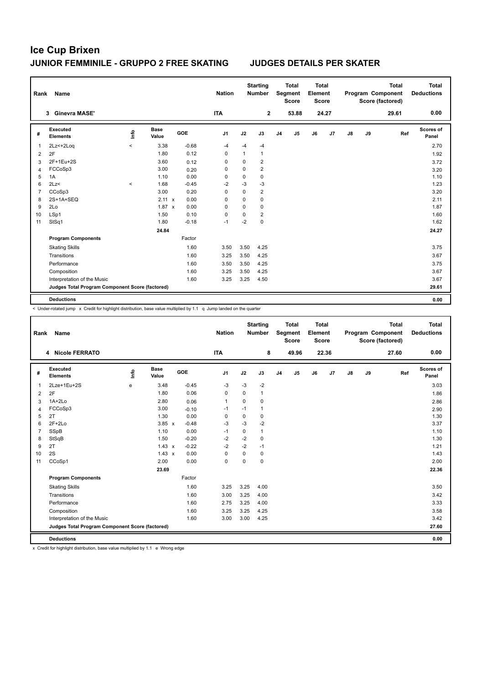| Rank     | Name                                            |         |                      |            | <b>Nation</b>  |              | <b>Starting</b><br><b>Number</b> |                | <b>Total</b><br>Segment<br><b>Score</b> | <b>Total</b><br>Element<br><b>Score</b> |       |    |    | <b>Total</b><br>Program Component<br>Score (factored) | <b>Total</b><br><b>Deductions</b> |
|----------|-------------------------------------------------|---------|----------------------|------------|----------------|--------------|----------------------------------|----------------|-----------------------------------------|-----------------------------------------|-------|----|----|-------------------------------------------------------|-----------------------------------|
|          | <b>Ginevra MASE'</b><br>3                       |         |                      |            | <b>ITA</b>     |              | $\mathbf{2}$                     |                | 53.88                                   |                                         | 24.27 |    |    | 29.61                                                 | 0.00                              |
| #        | Executed<br><b>Elements</b>                     | ١nf٥    | <b>Base</b><br>Value | <b>GOE</b> | J <sub>1</sub> | J2           | J3                               | J <sub>4</sub> | J5                                      | J6                                      | J7    | J8 | J9 | Ref                                                   | Scores of<br>Panel                |
|          | 2Lz<+2Log                                       | $\,<\,$ | 3.38                 | $-0.68$    | $-4$           | $-4$         | $-4$                             |                |                                         |                                         |       |    |    |                                                       | 2.70                              |
| 2        | 2F                                              |         | 1.80                 | 0.12       | $\mathbf 0$    | $\mathbf{1}$ | $\mathbf{1}$                     |                |                                         |                                         |       |    |    |                                                       | 1.92                              |
| 3        | 2F+1Eu+2S                                       |         | 3.60                 | 0.12       | 0              | 0            | 2                                |                |                                         |                                         |       |    |    |                                                       | 3.72                              |
| $\Delta$ | FCCoSp3                                         |         | 3.00                 | 0.20       | 0              | $\mathbf 0$  | $\overline{2}$                   |                |                                         |                                         |       |    |    |                                                       | 3.20                              |
| 5        | 1A                                              |         | 1.10                 | 0.00       | 0              | $\mathbf 0$  | 0                                |                |                                         |                                         |       |    |    |                                                       | 1.10                              |
| 6        | 2Lz<                                            | $\prec$ | 1.68                 | $-0.45$    | $-2$           | $-3$         | $-3$                             |                |                                         |                                         |       |    |    |                                                       | 1.23                              |
| 7        | CCoSp3                                          |         | 3.00                 | 0.20       | $\Omega$       | $\Omega$     | $\overline{2}$                   |                |                                         |                                         |       |    |    |                                                       | 3.20                              |
| 8        | 2S+1A+SEQ                                       |         | $2.11 \times$        | 0.00       | 0              | $\mathbf 0$  | 0                                |                |                                         |                                         |       |    |    |                                                       | 2.11                              |
| 9        | 2Lo                                             |         | $1.87 \times$        | 0.00       | $\Omega$       | $\Omega$     | $\mathbf 0$                      |                |                                         |                                         |       |    |    |                                                       | 1.87                              |
| 10       | LSp1                                            |         | 1.50                 | 0.10       | 0              | $\mathbf 0$  | $\overline{2}$                   |                |                                         |                                         |       |    |    |                                                       | 1.60                              |
| 11       | StSq1                                           |         | 1.80                 | $-0.18$    | $-1$           | $-2$         | $\mathbf 0$                      |                |                                         |                                         |       |    |    |                                                       | 1.62                              |
|          |                                                 |         | 24.84                |            |                |              |                                  |                |                                         |                                         |       |    |    |                                                       | 24.27                             |
|          | <b>Program Components</b>                       |         |                      | Factor     |                |              |                                  |                |                                         |                                         |       |    |    |                                                       |                                   |
|          | <b>Skating Skills</b>                           |         |                      | 1.60       | 3.50           | 3.50         | 4.25                             |                |                                         |                                         |       |    |    |                                                       | 3.75                              |
|          | Transitions                                     |         |                      | 1.60       | 3.25           | 3.50         | 4.25                             |                |                                         |                                         |       |    |    |                                                       | 3.67                              |
|          | Performance                                     |         |                      | 1.60       | 3.50           | 3.50         | 4.25                             |                |                                         |                                         |       |    |    |                                                       | 3.75                              |
|          | Composition                                     |         |                      | 1.60       | 3.25           | 3.50         | 4.25                             |                |                                         |                                         |       |    |    |                                                       | 3.67                              |
|          | Interpretation of the Music                     |         |                      | 1.60       | 3.25           | 3.25         | 4.50                             |                |                                         |                                         |       |    |    |                                                       | 3.67                              |
|          | Judges Total Program Component Score (factored) |         |                      |            |                |              |                                  |                |                                         |                                         |       |    |    |                                                       | 29.61                             |
|          | <b>Deductions</b>                               |         |                      |            |                |              |                                  |                |                                         |                                         |       |    |    |                                                       | 0.00                              |

 $\leq$  Under-rotated jump  $\geq$  Credit for highlight distribution, base value multiplied by 1.1 q Jump landed on the quarter

| Rank           | <b>Name</b>                                     |      |                      |         | <b>Nation</b>  |             | <b>Starting</b><br><b>Number</b> |                | <b>Total</b><br>Segment<br><b>Score</b> | <b>Total</b><br>Element<br><b>Score</b> |                |               |    | <b>Total</b><br>Program Component<br>Score (factored) | <b>Total</b><br><b>Deductions</b> |
|----------------|-------------------------------------------------|------|----------------------|---------|----------------|-------------|----------------------------------|----------------|-----------------------------------------|-----------------------------------------|----------------|---------------|----|-------------------------------------------------------|-----------------------------------|
|                | 4 Nicole FERRATO                                |      |                      |         | <b>ITA</b>     |             | 8                                |                | 49.96                                   |                                         | 22.36          |               |    | 27.60                                                 | 0.00                              |
| #              | Executed<br><b>Elements</b>                     | lnfo | <b>Base</b><br>Value | GOE     | J <sub>1</sub> | J2          | J3                               | J <sub>4</sub> | J <sub>5</sub>                          | J6                                      | J <sub>7</sub> | $\mathsf{J}8$ | J9 | Ref                                                   | Scores of<br>Panel                |
| 1              | 2Lze+1Eu+2S                                     | e    | 3.48                 | $-0.45$ | $-3$           | $-3$        | $-2$                             |                |                                         |                                         |                |               |    |                                                       | 3.03                              |
| 2              | 2F                                              |      | 1.80                 | 0.06    | $\Omega$       | $\Omega$    | $\mathbf{1}$                     |                |                                         |                                         |                |               |    |                                                       | 1.86                              |
| 3              | $1A+2Lo$                                        |      | 2.80                 | 0.06    | $\mathbf{1}$   | $\mathbf 0$ | $\mathbf 0$                      |                |                                         |                                         |                |               |    |                                                       | 2.86                              |
| 4              | FCCoSp3                                         |      | 3.00                 | $-0.10$ | $-1$           | $-1$        | $\mathbf{1}$                     |                |                                         |                                         |                |               |    |                                                       | 2.90                              |
| 5              | 2T                                              |      | 1.30                 | 0.00    | $\mathbf 0$    | $\mathbf 0$ | $\mathbf 0$                      |                |                                         |                                         |                |               |    |                                                       | 1.30                              |
| 6              | $2F+2Lo$                                        |      | $3.85 \times$        | $-0.48$ | $-3$           | $-3$        | $-2$                             |                |                                         |                                         |                |               |    |                                                       | 3.37                              |
| $\overline{7}$ | SSpB                                            |      | 1.10                 | 0.00    | $-1$           | $\mathbf 0$ | $\mathbf{1}$                     |                |                                         |                                         |                |               |    |                                                       | 1.10                              |
| 8              | StSqB                                           |      | 1.50                 | $-0.20$ | $-2$           | $-2$        | $\mathbf 0$                      |                |                                         |                                         |                |               |    |                                                       | 1.30                              |
| 9              | 2T                                              |      | $1.43 \times$        | $-0.22$ | $-2$           | $-2$        | $-1$                             |                |                                         |                                         |                |               |    |                                                       | 1.21                              |
| 10             | 2S                                              |      | $1.43 \times$        | 0.00    | $\Omega$       | 0           | 0                                |                |                                         |                                         |                |               |    |                                                       | 1.43                              |
| 11             | CCoSp1                                          |      | 2.00                 | 0.00    | 0              | 0           | $\mathbf 0$                      |                |                                         |                                         |                |               |    |                                                       | 2.00                              |
|                |                                                 |      | 23.69                |         |                |             |                                  |                |                                         |                                         |                |               |    |                                                       | 22.36                             |
|                | <b>Program Components</b>                       |      |                      | Factor  |                |             |                                  |                |                                         |                                         |                |               |    |                                                       |                                   |
|                | <b>Skating Skills</b>                           |      |                      | 1.60    | 3.25           | 3.25        | 4.00                             |                |                                         |                                         |                |               |    |                                                       | 3.50                              |
|                | Transitions                                     |      |                      | 1.60    | 3.00           | 3.25        | 4.00                             |                |                                         |                                         |                |               |    |                                                       | 3.42                              |
|                | Performance                                     |      |                      | 1.60    | 2.75           | 3.25        | 4.00                             |                |                                         |                                         |                |               |    |                                                       | 3.33                              |
|                | Composition                                     |      |                      | 1.60    | 3.25           | 3.25        | 4.25                             |                |                                         |                                         |                |               |    |                                                       | 3.58                              |
|                | Interpretation of the Music                     |      |                      | 1.60    | 3.00           | 3.00        | 4.25                             |                |                                         |                                         |                |               |    |                                                       | 3.42                              |
|                | Judges Total Program Component Score (factored) |      |                      |         |                |             |                                  |                |                                         |                                         |                |               |    |                                                       | 27.60                             |
|                | <b>Deductions</b>                               |      |                      |         |                |             |                                  |                |                                         |                                         |                |               |    |                                                       | 0.00                              |

x Credit for highlight distribution, base value multiplied by 1.1 e Wrong edge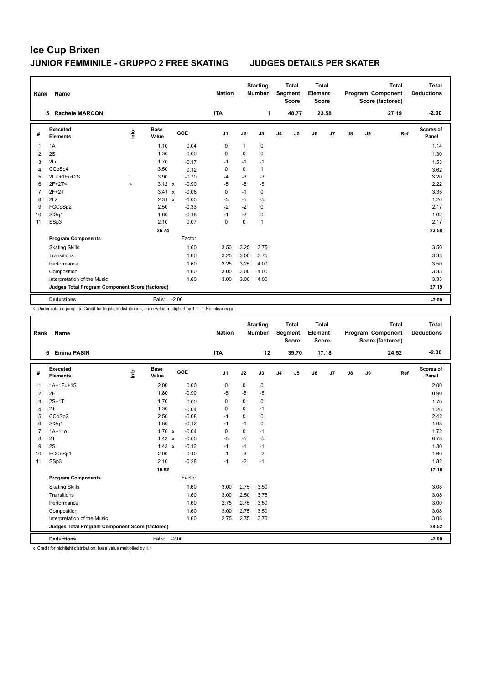| Rank | Name                                            |       |                      |            | <b>Nation</b>  |              | <b>Starting</b><br><b>Number</b> |                | <b>Total</b><br>Segment<br><b>Score</b> | <b>Total</b><br>Element<br><b>Score</b> |       |               |    | <b>Total</b><br>Program Component<br>Score (factored) | Total<br><b>Deductions</b> |
|------|-------------------------------------------------|-------|----------------------|------------|----------------|--------------|----------------------------------|----------------|-----------------------------------------|-----------------------------------------|-------|---------------|----|-------------------------------------------------------|----------------------------|
|      | <b>Rachele MARCON</b><br>5.                     |       |                      |            | <b>ITA</b>     |              | 1                                |                | 48.77                                   |                                         | 23.58 |               |    | 27.19                                                 | $-2.00$                    |
| #    | <b>Executed</b><br><b>Elements</b>              | ١nf٥  | <b>Base</b><br>Value | <b>GOE</b> | J <sub>1</sub> | J2           | J3                               | J <sub>4</sub> | J <sub>5</sub>                          | J6                                      | J7    | $\mathsf{J}8$ | J9 | Ref                                                   | Scores of<br>Panel         |
| 1    | 1A                                              |       | 1.10                 | 0.04       | 0              | $\mathbf{1}$ | 0                                |                |                                         |                                         |       |               |    |                                                       | 1.14                       |
| 2    | 2S                                              |       | 1.30                 | 0.00       | 0              | 0            | 0                                |                |                                         |                                         |       |               |    |                                                       | 1.30                       |
| 3    | 2Lo                                             |       | 1.70                 | $-0.17$    | $-1$           | $-1$         | $-1$                             |                |                                         |                                         |       |               |    |                                                       | 1.53                       |
| 4    | CCoSp4                                          |       | 3.50                 | 0.12       | 0              | 0            | $\mathbf{1}$                     |                |                                         |                                         |       |               |    |                                                       | 3.62                       |
| 5    | 2Lz!+1Eu+2S                                     |       | 3.90                 | $-0.70$    | $-4$           | $-3$         | $-3$                             |                |                                         |                                         |       |               |    |                                                       | 3.20                       |
| 6    | $2F+2T<$                                        | $\,<$ | $3.12 \times$        | $-0.90$    | $-5$           | $-5$         | $-5$                             |                |                                         |                                         |       |               |    |                                                       | 2.22                       |
| 7    | $2F+2T$                                         |       | 3.41 x               | $-0.06$    | 0              | $-1$         | 0                                |                |                                         |                                         |       |               |    |                                                       | 3.35                       |
| 8    | 2Lz                                             |       | 2.31 x               | $-1.05$    | $-5$           | $-5$         | $-5$                             |                |                                         |                                         |       |               |    |                                                       | 1.26                       |
| 9    | FCCoSp2                                         |       | 2.50                 | $-0.33$    | $-2$           | $-2$         | $\mathbf 0$                      |                |                                         |                                         |       |               |    |                                                       | 2.17                       |
| 10   | StSq1                                           |       | 1.80                 | $-0.18$    | $-1$           | $-2$         | 0                                |                |                                         |                                         |       |               |    |                                                       | 1.62                       |
| 11   | SSp3                                            |       | 2.10                 | 0.07       | 0              | 0            | $\mathbf{1}$                     |                |                                         |                                         |       |               |    |                                                       | 2.17                       |
|      |                                                 |       | 26.74                |            |                |              |                                  |                |                                         |                                         |       |               |    |                                                       | 23.58                      |
|      | <b>Program Components</b>                       |       |                      | Factor     |                |              |                                  |                |                                         |                                         |       |               |    |                                                       |                            |
|      | <b>Skating Skills</b>                           |       |                      | 1.60       | 3.50           | 3.25         | 3.75                             |                |                                         |                                         |       |               |    |                                                       | 3.50                       |
|      | Transitions                                     |       |                      | 1.60       | 3.25           | 3.00         | 3.75                             |                |                                         |                                         |       |               |    |                                                       | 3.33                       |
|      | Performance                                     |       |                      | 1.60       | 3.25           | 3.25         | 4.00                             |                |                                         |                                         |       |               |    |                                                       | 3.50                       |
|      | Composition                                     |       |                      | 1.60       | 3.00           | 3.00         | 4.00                             |                |                                         |                                         |       |               |    |                                                       | 3.33                       |
|      | Interpretation of the Music                     |       |                      | 1.60       | 3.00           | 3.00         | 4.00                             |                |                                         |                                         |       |               |    |                                                       | 3.33                       |
|      | Judges Total Program Component Score (factored) |       |                      |            |                |              |                                  |                |                                         |                                         |       |               |    |                                                       | 27.19                      |
|      | <b>Deductions</b>                               |       | Falls:               | $-2.00$    |                |              |                                  |                |                                         |                                         |       |               |    |                                                       | $-2.00$                    |

< Under-rotated jump x Credit for highlight distribution, base value multiplied by 1.1 ! Not clear edge

| Rank           | Name                                            |      |                      |            | <b>Nation</b>  |             | <b>Starting</b><br><b>Number</b> |                | <b>Total</b><br>Segment<br><b>Score</b> | <b>Total</b><br>Element<br><b>Score</b> |       |               |    | <b>Total</b><br>Program Component<br>Score (factored) | <b>Total</b><br><b>Deductions</b> |
|----------------|-------------------------------------------------|------|----------------------|------------|----------------|-------------|----------------------------------|----------------|-----------------------------------------|-----------------------------------------|-------|---------------|----|-------------------------------------------------------|-----------------------------------|
|                | 6 Emma PASIN                                    |      |                      |            | <b>ITA</b>     |             | 12                               |                | 39.70                                   |                                         | 17.18 |               |    | 24.52                                                 | $-2.00$                           |
| #              | Executed<br><b>Elements</b>                     | lnfo | <b>Base</b><br>Value | <b>GOE</b> | J <sub>1</sub> | J2          | J3                               | J <sub>4</sub> | J5                                      | J6                                      | J7    | $\mathsf{J}8$ | J9 | Ref                                                   | Scores of<br>Panel                |
| 1              | 1A+1Eu+1S                                       |      | 2.00                 | 0.00       | 0              | $\mathbf 0$ | 0                                |                |                                         |                                         |       |               |    |                                                       | 2.00                              |
| $\overline{2}$ | 2F                                              |      | 1.80                 | $-0.90$    | $-5$           | $-5$        | $-5$                             |                |                                         |                                         |       |               |    |                                                       | 0.90                              |
| 3              | $2S+1T$                                         |      | 1.70                 | 0.00       | $\mathbf 0$    | 0           | 0                                |                |                                         |                                         |       |               |    |                                                       | 1.70                              |
| 4              | 2T                                              |      | 1.30                 | $-0.04$    | 0              | $\Omega$    | $-1$                             |                |                                         |                                         |       |               |    |                                                       | 1.26                              |
| 5              | CCoSp2                                          |      | 2.50                 | $-0.08$    | $-1$           | $\Omega$    | 0                                |                |                                         |                                         |       |               |    |                                                       | 2.42                              |
| 6              | StSq1                                           |      | 1.80                 | $-0.12$    | $-1$           | $-1$        | 0                                |                |                                         |                                         |       |               |    |                                                       | 1.68                              |
| $\overline{7}$ | $1A+1L0$                                        |      | 1.76 x               | $-0.04$    | $\Omega$       | $\mathbf 0$ | $-1$                             |                |                                         |                                         |       |               |    |                                                       | 1.72                              |
| 8              | 2T                                              |      | $1.43 \times$        | $-0.65$    | $-5$           | $-5$        | $-5$                             |                |                                         |                                         |       |               |    |                                                       | 0.78                              |
| 9              | 2S                                              |      | $1.43 \times$        | $-0.13$    | $-1$           | $-1$        | $-1$                             |                |                                         |                                         |       |               |    |                                                       | 1.30                              |
| 10             | FCCoSp1                                         |      | 2.00                 | $-0.40$    | $-1$           | $-3$        | $-2$                             |                |                                         |                                         |       |               |    |                                                       | 1.60                              |
| 11             | SSp3                                            |      | 2.10                 | $-0.28$    | $-1$           | $-2$        | $-1$                             |                |                                         |                                         |       |               |    |                                                       | 1.82                              |
|                |                                                 |      | 19.82                |            |                |             |                                  |                |                                         |                                         |       |               |    |                                                       | 17.18                             |
|                | <b>Program Components</b>                       |      |                      | Factor     |                |             |                                  |                |                                         |                                         |       |               |    |                                                       |                                   |
|                | <b>Skating Skills</b>                           |      |                      | 1.60       | 3.00           | 2.75        | 3.50                             |                |                                         |                                         |       |               |    |                                                       | 3.08                              |
|                | Transitions                                     |      |                      | 1.60       | 3.00           | 2.50        | 3.75                             |                |                                         |                                         |       |               |    |                                                       | 3.08                              |
|                | Performance                                     |      |                      | 1.60       | 2.75           | 2.75        | 3.50                             |                |                                         |                                         |       |               |    |                                                       | 3.00                              |
|                | Composition                                     |      |                      | 1.60       | 3.00           | 2.75        | 3.50                             |                |                                         |                                         |       |               |    |                                                       | 3.08                              |
|                | Interpretation of the Music                     |      |                      | 1.60       | 2.75           | 2.75        | 3.75                             |                |                                         |                                         |       |               |    |                                                       | 3.08                              |
|                | Judges Total Program Component Score (factored) |      |                      |            |                |             |                                  |                |                                         |                                         |       |               |    |                                                       | 24.52                             |
|                | <b>Deductions</b>                               |      | Falls:               | $-2.00$    |                |             |                                  |                |                                         |                                         |       |               |    |                                                       | $-2.00$                           |

x Credit for highlight distribution, base value multiplied by 1.1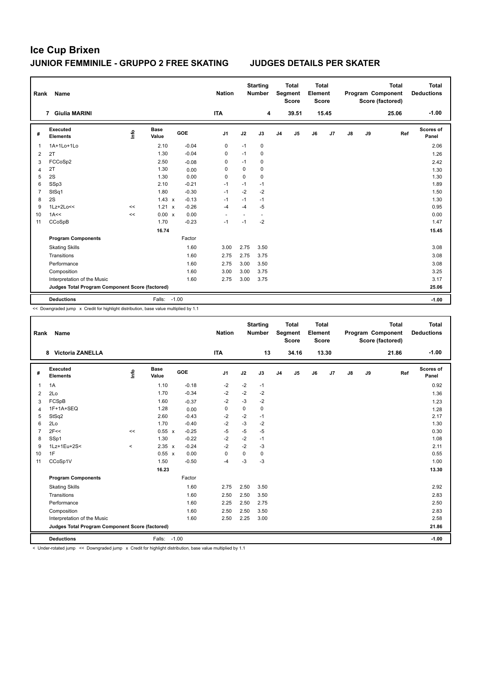| Rank | Name                                            |      |                      |            | <b>Nation</b>  |      | <b>Starting</b><br><b>Number</b> |                | <b>Total</b><br>Segment<br><b>Score</b> | <b>Total</b><br>Element<br><b>Score</b> |       |               |    | <b>Total</b><br>Program Component<br>Score (factored) | <b>Total</b><br><b>Deductions</b> |
|------|-------------------------------------------------|------|----------------------|------------|----------------|------|----------------------------------|----------------|-----------------------------------------|-----------------------------------------|-------|---------------|----|-------------------------------------------------------|-----------------------------------|
|      | <b>Giulia MARINI</b><br>$\overline{7}$          |      |                      |            | <b>ITA</b>     |      | 4                                |                | 39.51                                   |                                         | 15.45 |               |    | 25.06                                                 | $-1.00$                           |
| #    | <b>Executed</b><br><b>Elements</b>              | Info | <b>Base</b><br>Value | <b>GOE</b> | J <sub>1</sub> | J2   | J3                               | J <sub>4</sub> | J <sub>5</sub>                          | J6                                      | J7    | $\mathsf{J}8$ | J9 | Ref                                                   | Scores of<br>Panel                |
| 1    | 1A+1Lo+1Lo                                      |      | 2.10                 | $-0.04$    | 0              | $-1$ | $\mathbf 0$                      |                |                                         |                                         |       |               |    |                                                       | 2.06                              |
| 2    | 2T                                              |      | 1.30                 | $-0.04$    | 0              | $-1$ | 0                                |                |                                         |                                         |       |               |    |                                                       | 1.26                              |
| 3    | FCCoSp2                                         |      | 2.50                 | $-0.08$    | 0              | $-1$ | 0                                |                |                                         |                                         |       |               |    |                                                       | 2.42                              |
| 4    | 2T                                              |      | 1.30                 | 0.00       | 0              | 0    | 0                                |                |                                         |                                         |       |               |    |                                                       | 1.30                              |
| 5    | 2S                                              |      | 1.30                 | 0.00       | 0              | 0    | $\mathbf 0$                      |                |                                         |                                         |       |               |    |                                                       | 1.30                              |
| 6    | SSp3                                            |      | 2.10                 | $-0.21$    | $-1$           | $-1$ | $-1$                             |                |                                         |                                         |       |               |    |                                                       | 1.89                              |
| 7    | StSq1                                           |      | 1.80                 | $-0.30$    | $-1$           | $-2$ | $-2$                             |                |                                         |                                         |       |               |    |                                                       | 1.50                              |
| 8    | 2S                                              |      | $1.43 \times$        | $-0.13$    | $-1$           | $-1$ | $-1$                             |                |                                         |                                         |       |               |    |                                                       | 1.30                              |
| 9    | 1Lz+2Lo<<                                       | <<   | 1.21<br>$\mathbf{x}$ | $-0.26$    | $-4$           | $-4$ | $-5$                             |                |                                         |                                         |       |               |    |                                                       | 0.95                              |
| 10   | 1A<<                                            | <<   | 0.00 x               | 0.00       |                | ٠    | $\overline{\phantom{a}}$         |                |                                         |                                         |       |               |    |                                                       | 0.00                              |
| 11   | CCoSpB                                          |      | 1.70                 | $-0.23$    | $-1$           | $-1$ | $-2$                             |                |                                         |                                         |       |               |    |                                                       | 1.47                              |
|      |                                                 |      | 16.74                |            |                |      |                                  |                |                                         |                                         |       |               |    |                                                       | 15.45                             |
|      | <b>Program Components</b>                       |      |                      | Factor     |                |      |                                  |                |                                         |                                         |       |               |    |                                                       |                                   |
|      | <b>Skating Skills</b>                           |      |                      | 1.60       | 3.00           | 2.75 | 3.50                             |                |                                         |                                         |       |               |    |                                                       | 3.08                              |
|      | Transitions                                     |      |                      | 1.60       | 2.75           | 2.75 | 3.75                             |                |                                         |                                         |       |               |    |                                                       | 3.08                              |
|      | Performance                                     |      |                      | 1.60       | 2.75           | 3.00 | 3.50                             |                |                                         |                                         |       |               |    |                                                       | 3.08                              |
|      | Composition                                     |      |                      | 1.60       | 3.00           | 3.00 | 3.75                             |                |                                         |                                         |       |               |    |                                                       | 3.25                              |
|      | Interpretation of the Music                     |      |                      | 1.60       | 2.75           | 3.00 | 3.75                             |                |                                         |                                         |       |               |    |                                                       | 3.17                              |
|      | Judges Total Program Component Score (factored) |      |                      |            |                |      |                                  |                |                                         |                                         |       |               |    |                                                       | 25.06                             |
|      | <b>Deductions</b>                               |      | Falls: -1.00         |            |                |      |                                  |                |                                         |                                         |       |               |    |                                                       | $-1.00$                           |

<< Downgraded jump x Credit for highlight distribution, base value multiplied by 1.1

| Rank           | Name                                            |         |                      |            | <b>Nation</b>  |             | <b>Starting</b><br><b>Number</b> |                | <b>Total</b><br>Segment<br><b>Score</b> | <b>Total</b><br>Element<br><b>Score</b> |       |               |    | <b>Total</b><br>Program Component<br>Score (factored) | <b>Total</b><br><b>Deductions</b> |
|----------------|-------------------------------------------------|---------|----------------------|------------|----------------|-------------|----------------------------------|----------------|-----------------------------------------|-----------------------------------------|-------|---------------|----|-------------------------------------------------------|-----------------------------------|
|                | <b>Victoria ZANELLA</b><br>8                    |         |                      |            | <b>ITA</b>     |             | 13                               |                | 34.16                                   |                                         | 13.30 |               |    | 21.86                                                 | $-1.00$                           |
| #              | Executed<br><b>Elements</b>                     | lnfo    | <b>Base</b><br>Value | <b>GOE</b> | J <sub>1</sub> | J2          | J3                               | J <sub>4</sub> | J <sub>5</sub>                          | J6                                      | J7    | $\mathsf{J}8$ | J9 | Ref                                                   | Scores of<br>Panel                |
| $\mathbf{1}$   | 1A                                              |         | 1.10                 | $-0.18$    | $-2$           | $-2$        | $-1$                             |                |                                         |                                         |       |               |    |                                                       | 0.92                              |
| $\overline{2}$ | 2Lo                                             |         | 1.70                 | $-0.34$    | $-2$           | $-2$        | $-2$                             |                |                                         |                                         |       |               |    |                                                       | 1.36                              |
| 3              | FCSpB                                           |         | 1.60                 | $-0.37$    | $-2$           | $-3$        | $-2$                             |                |                                         |                                         |       |               |    |                                                       | 1.23                              |
| $\overline{4}$ | 1F+1A+SEQ                                       |         | 1.28                 | 0.00       | $\mathbf 0$    | $\mathbf 0$ | $\mathbf 0$                      |                |                                         |                                         |       |               |    |                                                       | 1.28                              |
| 5              | StSq2                                           |         | 2.60                 | $-0.43$    | $-2$           | $-2$        | $-1$                             |                |                                         |                                         |       |               |    |                                                       | 2.17                              |
| 6              | 2Lo                                             |         | 1.70                 | $-0.40$    | $-2$           | $-3$        | $-2$                             |                |                                         |                                         |       |               |    |                                                       | 1.30                              |
| $\overline{7}$ | 2F<<                                            | <<      | 0.55 x               | $-0.25$    | $-5$           | $-5$        | $-5$                             |                |                                         |                                         |       |               |    |                                                       | 0.30                              |
| 8              | SSp1                                            |         | 1.30                 | $-0.22$    | $-2$           | $-2$        | $-1$                             |                |                                         |                                         |       |               |    |                                                       | 1.08                              |
| 9              | 1Lz+1Eu+2S<                                     | $\prec$ | $2.35 \times$        | $-0.24$    | $-2$           | $-2$        | $-3$                             |                |                                         |                                         |       |               |    |                                                       | 2.11                              |
| 10             | 1F                                              |         | $0.55 \times$        | 0.00       | $\mathbf 0$    | $\mathbf 0$ | $\mathbf 0$                      |                |                                         |                                         |       |               |    |                                                       | 0.55                              |
| 11             | CCoSp1V                                         |         | 1.50                 | $-0.50$    | $-4$           | $-3$        | $-3$                             |                |                                         |                                         |       |               |    |                                                       | 1.00                              |
|                |                                                 |         | 16.23                |            |                |             |                                  |                |                                         |                                         |       |               |    |                                                       | 13.30                             |
|                | <b>Program Components</b>                       |         |                      | Factor     |                |             |                                  |                |                                         |                                         |       |               |    |                                                       |                                   |
|                | <b>Skating Skills</b>                           |         |                      | 1.60       | 2.75           | 2.50        | 3.50                             |                |                                         |                                         |       |               |    |                                                       | 2.92                              |
|                | Transitions                                     |         |                      | 1.60       | 2.50           | 2.50        | 3.50                             |                |                                         |                                         |       |               |    |                                                       | 2.83                              |
|                | Performance                                     |         |                      | 1.60       | 2.25           | 2.50        | 2.75                             |                |                                         |                                         |       |               |    |                                                       | 2.50                              |
|                | Composition                                     |         |                      | 1.60       | 2.50           | 2.50        | 3.50                             |                |                                         |                                         |       |               |    |                                                       | 2.83                              |
|                | Interpretation of the Music                     |         |                      | 1.60       | 2.50           | 2.25        | 3.00                             |                |                                         |                                         |       |               |    |                                                       | 2.58                              |
|                | Judges Total Program Component Score (factored) |         |                      |            |                |             |                                  |                |                                         |                                         |       |               |    |                                                       | 21.86                             |
|                | <b>Deductions</b>                               |         | Falls:               | $-1.00$    |                |             |                                  |                |                                         |                                         |       |               |    |                                                       | $-1.00$                           |

< Under-rotated jump << Downgraded jump x Credit for highlight distribution, base value multiplied by 1.1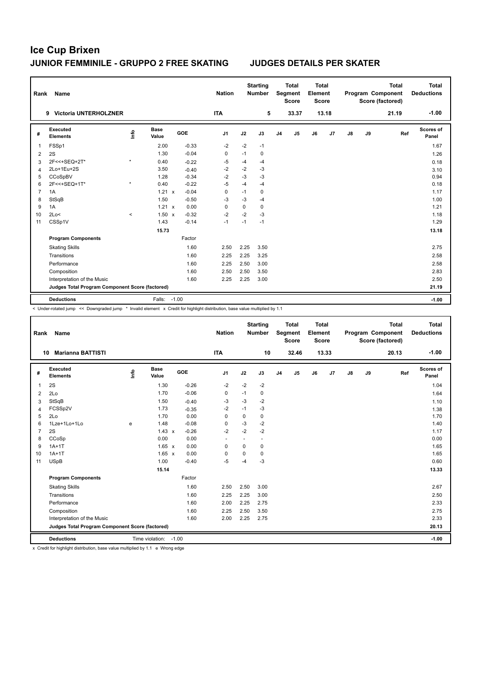| Rank           | Name                                            |         |                      |                         | <b>Nation</b>  |      | <b>Starting</b><br><b>Number</b> |                | <b>Total</b><br>Segment<br><b>Score</b> | <b>Total</b><br>Element<br><b>Score</b> |       |    |    | <b>Total</b><br>Program Component<br>Score (factored) | <b>Total</b><br><b>Deductions</b> |
|----------------|-------------------------------------------------|---------|----------------------|-------------------------|----------------|------|----------------------------------|----------------|-----------------------------------------|-----------------------------------------|-------|----|----|-------------------------------------------------------|-----------------------------------|
|                | <b>Victoria UNTERHOLZNER</b><br>9               |         |                      |                         | <b>ITA</b>     |      | 5                                |                | 33.37                                   |                                         | 13.18 |    |    | 21.19                                                 | $-1.00$                           |
| #              | Executed<br><b>Elements</b>                     | Info    | <b>Base</b><br>Value | GOE                     | J <sub>1</sub> | J2   | J3                               | J <sub>4</sub> | J <sub>5</sub>                          | J6                                      | J7    | J8 | J9 | Ref                                                   | <b>Scores of</b><br>Panel         |
| 1              | FSSp1                                           |         | 2.00                 | $-0.33$                 | $-2$           | $-2$ | $-1$                             |                |                                         |                                         |       |    |    |                                                       | 1.67                              |
| $\overline{2}$ | 2S                                              |         | 1.30                 | $-0.04$                 | 0              | $-1$ | 0                                |                |                                         |                                         |       |    |    |                                                       | 1.26                              |
| 3              | 2F<<+SEQ+2T*                                    | $\star$ | 0.40                 | $-0.22$                 | -5             | $-4$ | $-4$                             |                |                                         |                                         |       |    |    |                                                       | 0.18                              |
| $\overline{4}$ | 2Lo+1Eu+2S                                      |         | 3.50                 | $-0.40$                 | $-2$           | $-2$ | $-3$                             |                |                                         |                                         |       |    |    |                                                       | 3.10                              |
| 5              | CCoSpBV                                         |         | 1.28                 | $-0.34$                 | $-2$           | $-3$ | $-3$                             |                |                                         |                                         |       |    |    |                                                       | 0.94                              |
| 6              | 2F<<+SEQ+1T*                                    | $\star$ | 0.40                 | $-0.22$                 | $-5$           | $-4$ | $-4$                             |                |                                         |                                         |       |    |    |                                                       | 0.18                              |
| $\overline{7}$ | 1A                                              |         | 1.21                 | $-0.04$<br>$\mathsf{x}$ | 0              | $-1$ | 0                                |                |                                         |                                         |       |    |    |                                                       | 1.17                              |
| 8              | StSqB                                           |         | 1.50                 | $-0.50$                 | -3             | $-3$ | $-4$                             |                |                                         |                                         |       |    |    |                                                       | 1.00                              |
| 9              | 1A                                              |         | $1.21 \times$        | 0.00                    | 0              | 0    | 0                                |                |                                         |                                         |       |    |    |                                                       | 1.21                              |
| 10             | 2Lo<                                            | $\,<$   | $1.50 \times$        | $-0.32$                 | $-2$           | $-2$ | $-3$                             |                |                                         |                                         |       |    |    |                                                       | 1.18                              |
| 11             | CSSp1V                                          |         | 1.43                 | $-0.14$                 | $-1$           | $-1$ | $-1$                             |                |                                         |                                         |       |    |    |                                                       | 1.29                              |
|                |                                                 |         | 15.73                |                         |                |      |                                  |                |                                         |                                         |       |    |    |                                                       | 13.18                             |
|                | <b>Program Components</b>                       |         |                      | Factor                  |                |      |                                  |                |                                         |                                         |       |    |    |                                                       |                                   |
|                | <b>Skating Skills</b>                           |         |                      | 1.60                    | 2.50           | 2.25 | 3.50                             |                |                                         |                                         |       |    |    |                                                       | 2.75                              |
|                | Transitions                                     |         |                      | 1.60                    | 2.25           | 2.25 | 3.25                             |                |                                         |                                         |       |    |    |                                                       | 2.58                              |
|                | Performance                                     |         |                      | 1.60                    | 2.25           | 2.50 | 3.00                             |                |                                         |                                         |       |    |    |                                                       | 2.58                              |
|                | Composition                                     |         |                      | 1.60                    | 2.50           | 2.50 | 3.50                             |                |                                         |                                         |       |    |    |                                                       | 2.83                              |
|                | Interpretation of the Music                     |         |                      | 1.60                    | 2.25           | 2.25 | 3.00                             |                |                                         |                                         |       |    |    |                                                       | 2.50                              |
|                | Judges Total Program Component Score (factored) |         |                      |                         |                |      |                                  |                |                                         |                                         |       |    |    |                                                       | 21.19                             |
|                | <b>Deductions</b>                               |         | Falls: -1.00         |                         |                |      |                                  |                |                                         |                                         |       |    |    |                                                       | $-1.00$                           |

< Under-rotated jump << Downgraded jump \* Invalid element x Credit for highlight distribution, base value multiplied by 1.1

| Rank                    | Name                                            |      |                      |            | <b>Nation</b>  |          | <b>Starting</b><br><b>Number</b> |                | <b>Total</b><br>Segment<br><b>Score</b> | <b>Total</b><br>Element<br>Score |       |               |    | <b>Total</b><br>Program Component<br>Score (factored) | <b>Total</b><br><b>Deductions</b> |
|-------------------------|-------------------------------------------------|------|----------------------|------------|----------------|----------|----------------------------------|----------------|-----------------------------------------|----------------------------------|-------|---------------|----|-------------------------------------------------------|-----------------------------------|
| 10                      | <b>Marianna BATTISTI</b>                        |      |                      |            | <b>ITA</b>     |          | 10                               |                | 32.46                                   |                                  | 13.33 |               |    | 20.13                                                 | $-1.00$                           |
| #                       | <b>Executed</b><br><b>Elements</b>              | lnfo | <b>Base</b><br>Value | <b>GOE</b> | J <sub>1</sub> | J2       | J3                               | J <sub>4</sub> | J <sub>5</sub>                          | J6                               | J7    | $\mathsf{J}8$ | J9 | Ref                                                   | Scores of<br>Panel                |
| 1                       | 2S                                              |      | 1.30                 | $-0.26$    | $-2$           | $-2$     | $-2$                             |                |                                         |                                  |       |               |    |                                                       | 1.04                              |
| $\overline{2}$          | 2Lo                                             |      | 1.70                 | $-0.06$    | 0              | $-1$     | $\mathbf 0$                      |                |                                         |                                  |       |               |    |                                                       | 1.64                              |
| 3                       | StSqB                                           |      | 1.50                 | $-0.40$    | -3             | $-3$     | $-2$                             |                |                                         |                                  |       |               |    |                                                       | 1.10                              |
| $\overline{\mathbf{4}}$ | FCSSp2V                                         |      | 1.73                 | $-0.35$    | $-2$           | $-1$     | $-3$                             |                |                                         |                                  |       |               |    |                                                       | 1.38                              |
| 5                       | 2Lo                                             |      | 1.70                 | 0.00       | $\Omega$       | $\Omega$ | $\Omega$                         |                |                                         |                                  |       |               |    |                                                       | 1.70                              |
| 6                       | 1Lze+1Lo+1Lo                                    | e    | 1.48                 | $-0.08$    | 0              | $-3$     | $-2$                             |                |                                         |                                  |       |               |    |                                                       | 1.40                              |
| $\overline{7}$          | 2S                                              |      | $1.43 \times$        | $-0.26$    | $-2$           | $-2$     | $-2$                             |                |                                         |                                  |       |               |    |                                                       | 1.17                              |
| 8                       | CCoSp                                           |      | 0.00                 | 0.00       |                | ٠        | $\overline{\phantom{a}}$         |                |                                         |                                  |       |               |    |                                                       | 0.00                              |
| 9                       | $1A+1T$                                         |      | $1.65 \times$        | 0.00       | $\Omega$       | $\Omega$ | $\mathbf 0$                      |                |                                         |                                  |       |               |    |                                                       | 1.65                              |
| 10                      | $1A+1T$                                         |      | $1.65 \times$        | 0.00       | 0              | 0        | $\pmb{0}$                        |                |                                         |                                  |       |               |    |                                                       | 1.65                              |
| 11                      | <b>USpB</b>                                     |      | 1.00                 | $-0.40$    | $-5$           | -4       | $-3$                             |                |                                         |                                  |       |               |    |                                                       | 0.60                              |
|                         |                                                 |      | 15.14                |            |                |          |                                  |                |                                         |                                  |       |               |    |                                                       | 13.33                             |
|                         | <b>Program Components</b>                       |      |                      | Factor     |                |          |                                  |                |                                         |                                  |       |               |    |                                                       |                                   |
|                         | <b>Skating Skills</b>                           |      |                      | 1.60       | 2.50           | 2.50     | 3.00                             |                |                                         |                                  |       |               |    |                                                       | 2.67                              |
|                         | Transitions                                     |      |                      | 1.60       | 2.25           | 2.25     | 3.00                             |                |                                         |                                  |       |               |    |                                                       | 2.50                              |
|                         | Performance                                     |      |                      | 1.60       | 2.00           | 2.25     | 2.75                             |                |                                         |                                  |       |               |    |                                                       | 2.33                              |
|                         | Composition                                     |      |                      | 1.60       | 2.25           | 2.50     | 3.50                             |                |                                         |                                  |       |               |    |                                                       | 2.75                              |
|                         | Interpretation of the Music                     |      |                      | 1.60       | 2.00           | 2.25     | 2.75                             |                |                                         |                                  |       |               |    |                                                       | 2.33                              |
|                         | Judges Total Program Component Score (factored) |      |                      |            |                |          |                                  |                |                                         |                                  |       |               |    |                                                       | 20.13                             |
|                         | <b>Deductions</b>                               |      | Time violation:      | $-1.00$    |                |          |                                  |                |                                         |                                  |       |               |    |                                                       | $-1.00$                           |

x Credit for highlight distribution, base value multiplied by 1.1 e Wrong edge